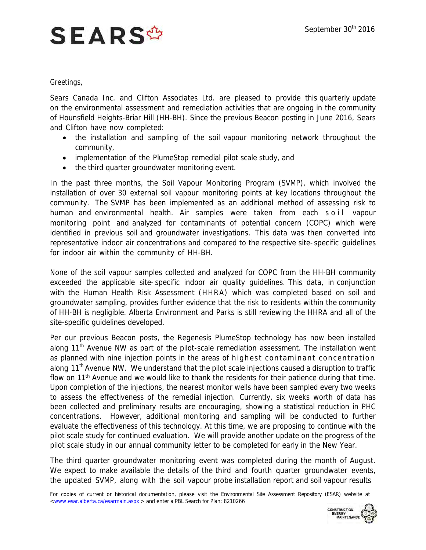## **SEARS<sup>\$</sup>**

Greetings,

Sears Canada Inc. and Clifton Associates Ltd. are pleased to provide this quarterly update on the environmental assessment and remediation activities that are ongoing in the community of Hounsfield Heights-Briar Hill (HH-BH). Since the previous Beacon posting in June 2016, Sears and Clifton have now completed:

- the installation and sampling of the soil vapour monitoring network throughout the community,
- implementation of the PlumeStop remedial pilot scale study, and
- the third quarter groundwater monitoring event.

In the past three months, the Soil Vapour Monitoring Program (SVMP), which involved the installation of over 30 external soil vapour monitoring points at key locations throughout the community. The SVMP has been implemented as an additional method of assessing risk to human and environmental health. Air samples were taken from each soll vapour monitoring point and analyzed for contaminants of potential concern (COPC) which were identified in previous soil and groundwater investigations. This data was then converted into representative indoor air concentrations and compared to the respective site-specific guidelines for indoor air within the community of HH-BH.

None of the soil vapour samples collected and analyzed for COPC from the HH-BH community exceeded the applicable site- specific indoor air quality guidelines. This data, in conjunction with the Human Health Risk Assessment (HHRA) which was completed based on soil and groundwater sampling, provides further evidence that the risk to residents within the community of HH-BH is negligible. Alberta Environment and Parks is still reviewing the HHRA and all of the site-specific guidelines developed.

Per our previous Beacon posts, the Regenesis PlumeStop technology has now been installed along  $11<sup>th</sup>$  Avenue NW as part of the pilot-scale remediation assessment. The installation went as planned with nine injection points in the areas of highest contaminant concentration along 11<sup>th</sup> Avenue NW. We understand that the pilot scale injections caused a disruption to traffic flow on 11<sup>th</sup> Avenue and we would like to thank the residents for their patience during that time. Upon completion of the injections, the nearest monitor wells have been sampled every two weeks to assess the effectiveness of the remedial injection. Currently, six weeks worth of data has been collected and preliminary results are encouraging, showing a statistical reduction in PHC concentrations. However, additional monitoring and sampling will be conducted to further evaluate the effectiveness of this technology. At this time, we are proposing to continue with the pilot scale study for continued evaluation. We will provide another update on the progress of the pilot scale study in our annual community letter to be completed for early in the New Year.

The third quarter groundwater monitoring event was completed during the month of August. We expect to make available the details of the third and fourth quarter groundwater events, the updated SVMP, along with the soil vapour probe installation report and soil vapour results

For copies of current or historical documentation, please visit the Environmental Site Assessment Repository (ESAR) website at [<www.esar.alberta.ca/esarmain.aspx](http://www.esar.alberta.ca/esarmain.aspx) > and enter a PBL Search for Plan: 8210266